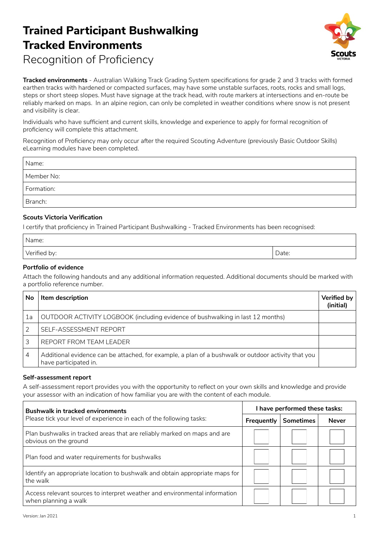# **Trained Participant Bushwalking Tracked Environments** Recognition of Proficiency



**Tracked environments** - Australian Walking Track Grading System specifications for grade 2 and 3 tracks with formed earthen tracks with hardened or compacted surfaces, may have some unstable surfaces, roots, rocks and small logs, steps or short steep slopes. Must have signage at the track head, with route markers at intersections and en-route be reliably marked on maps. In an alpine region, can only be completed in weather conditions where snow is not present and visibility is clear.

Individuals who have sufficient and current skills, knowledge and experience to apply for formal recognition of proficiency will complete this attachment.

Recognition of Proficiency may only occur after the required Scouting Adventure (previously Basic Outdoor Skills) eLearning modules have been completed.

| Name:      |  |
|------------|--|
| Member No: |  |
| Formation: |  |
| Branch:    |  |

#### **Scouts Victoria Verification**

I certify that proficiency in Trained Participant Bushwalking - Tracked Environments has been recognised:

| Name:        |       |
|--------------|-------|
| Verified by: | Date: |

#### **Portfolio of evidence**

Attach the following handouts and any additional information requested. Additional documents should be marked with a portfolio reference number.

| No | Item description                                                                                                             | <b>Verified by</b><br>(initial) |
|----|------------------------------------------------------------------------------------------------------------------------------|---------------------------------|
| 1a | OUTDOOR ACTIVITY LOGBOOK (including evidence of bushwalking in last 12 months)                                               |                                 |
|    | SELF-ASSESSMENT REPORT                                                                                                       |                                 |
|    | REPORT FROM TEAM LEADER                                                                                                      |                                 |
| 4  | Additional evidence can be attached, for example, a plan of a bushwalk or outdoor activity that you<br>have participated in. |                                 |

#### **Self-assessment report**

A self-assessment report provides you with the opportunity to reflect on your own skills and knowledge and provide your assessor with an indication of how familiar you are with the content of each module.

| <b>Bushwalk in tracked environments</b>                                                            | I have performed these tasks: |                  |              |
|----------------------------------------------------------------------------------------------------|-------------------------------|------------------|--------------|
| Please tick your level of experience in each of the following tasks:                               | Frequently                    | <b>Sometimes</b> | <b>Never</b> |
| Plan bushwalks in tracked areas that are reliably marked on maps and are<br>obvious on the ground  |                               |                  |              |
| Plan food and water requirements for bushwalks                                                     |                               |                  |              |
| Identify an appropriate location to bushwalk and obtain appropriate maps for<br>the walk           |                               |                  |              |
| Access relevant sources to interpret weather and environmental information<br>when planning a walk |                               |                  |              |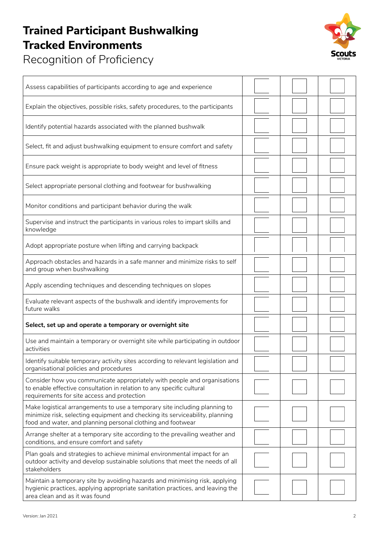## **Trained Participant Bushwalking Tracked Environments**



Recognition of Proficiency

| Assess capabilities of participants according to age and experience                                                                                                                                                       |  |  |
|---------------------------------------------------------------------------------------------------------------------------------------------------------------------------------------------------------------------------|--|--|
| Explain the objectives, possible risks, safety procedures, to the participants                                                                                                                                            |  |  |
| Identify potential hazards associated with the planned bushwalk                                                                                                                                                           |  |  |
| Select, fit and adjust bushwalking equipment to ensure comfort and safety                                                                                                                                                 |  |  |
| Ensure pack weight is appropriate to body weight and level of fitness                                                                                                                                                     |  |  |
| Select appropriate personal clothing and footwear for bushwalking                                                                                                                                                         |  |  |
| Monitor conditions and participant behavior during the walk                                                                                                                                                               |  |  |
| Supervise and instruct the participants in various roles to impart skills and<br>knowledge                                                                                                                                |  |  |
| Adopt appropriate posture when lifting and carrying backpack                                                                                                                                                              |  |  |
| Approach obstacles and hazards in a safe manner and minimize risks to self<br>and group when bushwalking                                                                                                                  |  |  |
| Apply ascending techniques and descending techniques on slopes                                                                                                                                                            |  |  |
| Evaluate relevant aspects of the bushwalk and identify improvements for<br>future walks                                                                                                                                   |  |  |
| Select, set up and operate a temporary or overnight site                                                                                                                                                                  |  |  |
| Use and maintain a temporary or overnight site while participating in outdoor<br>activities                                                                                                                               |  |  |
| Identify suitable temporary activity sites according to relevant legislation and<br>organisational policies and procedures                                                                                                |  |  |
| Consider how you communicate appropriately with people and organisations<br>to enable effective consultation in relation to any specific cultural<br>requirements for site access and protection                          |  |  |
| Make logistical arrangements to use a temporary site including planning to<br>minimize risk, selecting equipment and checking its serviceability, planning<br>food and water, and planning personal clothing and footwear |  |  |
| Arrange shelter at a temporary site according to the prevailing weather and<br>conditions, and ensure comfort and safety                                                                                                  |  |  |
| Plan goals and strategies to achieve minimal environmental impact for an<br>outdoor activity and develop sustainable solutions that meet the needs of all<br>stakeholders                                                 |  |  |
| Maintain a temporary site by avoiding hazards and minimising risk, applying<br>hygienic practices, applying appropriate sanitation practices, and leaving the<br>area clean and as it was found                           |  |  |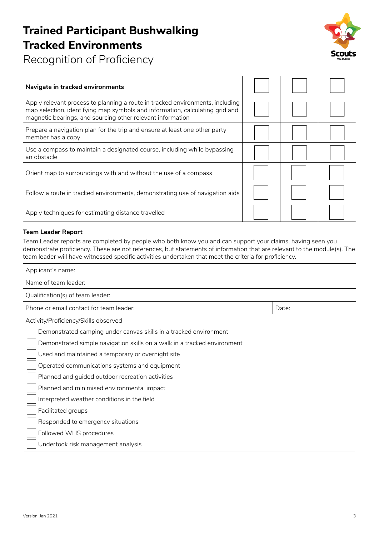## **Trained Participant Bushwalking Tracked Environments**



Recognition of Proficiency

| Navigate in tracked environments                                                                                                                                                                                            |  |  |
|-----------------------------------------------------------------------------------------------------------------------------------------------------------------------------------------------------------------------------|--|--|
| Apply relevant process to planning a route in tracked environments, including<br>map selection, identifying map symbols and information, calculating grid and<br>magnetic bearings, and sourcing other relevant information |  |  |
| Prepare a navigation plan for the trip and ensure at least one other party<br>member has a copy                                                                                                                             |  |  |
| Use a compass to maintain a designated course, including while bypassing<br>an obstacle                                                                                                                                     |  |  |
| Orient map to surroundings with and without the use of a compass                                                                                                                                                            |  |  |
| Follow a route in tracked environments, demonstrating use of navigation aids                                                                                                                                                |  |  |
| Apply techniques for estimating distance travelled                                                                                                                                                                          |  |  |

### **Team Leader Report**

Team Leader reports are completed by people who both know you and can support your claims, having seen you demonstrate proficiency. These are not references, but statements of information that are relevant to the module(s). The team leader will have witnessed specific activities undertaken that meet the criteria for proficiency.

| Applicant's name:                                                        |       |  |
|--------------------------------------------------------------------------|-------|--|
| Name of team leader:                                                     |       |  |
| Qualification(s) of team leader:                                         |       |  |
| Phone or email contact for team leader:                                  | Date: |  |
| Activity/Proficiency/Skills observed                                     |       |  |
| Demonstrated camping under canvas skills in a tracked environment        |       |  |
| Demonstrated simple navigation skills on a walk in a tracked environment |       |  |
| Used and maintained a temporary or overnight site                        |       |  |
| Operated communications systems and equipment                            |       |  |
| Planned and guided outdoor recreation activities                         |       |  |
| Planned and minimised environmental impact                               |       |  |
| Interpreted weather conditions in the field                              |       |  |
| Facilitated groups                                                       |       |  |
| Responded to emergency situations                                        |       |  |
| Followed WHS procedures                                                  |       |  |
| Undertook risk management analysis                                       |       |  |